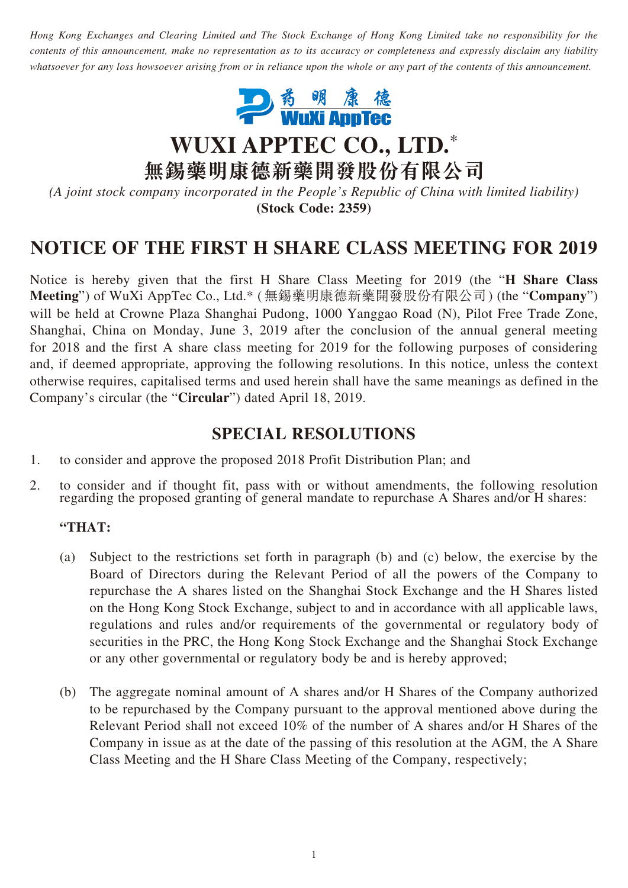*Hong Kong Exchanges and Clearing Limited and The Stock Exchange of Hong Kong Limited take no responsibility for the contents of this announcement, make no representation as to its accuracy or completeness and expressly disclaim any liability whatsoever for any loss howsoever arising from or in reliance upon the whole or any part of the contents of this announcement.*



# **WUXI APPTEC CO., LTD.**\*

**無錫藥明康德新藥開發股份有限公司**

*(A joint stock company incorporated in the People's Republic of China with limited liability)* **(Stock Code: 2359)**

## **NOTICE OF THE FIRST H SHARE CLASS MEETING FOR 2019**

Notice is hereby given that the first H Share Class Meeting for 2019 (the "**H Share Class Meeting**") of WuXi AppTec Co., Ltd.\* (無錫藥明康德新藥開發股份有限公司) (the "**Company**") will be held at Crowne Plaza Shanghai Pudong, 1000 Yanggao Road (N), Pilot Free Trade Zone, Shanghai, China on Monday, June 3, 2019 after the conclusion of the annual general meeting for 2018 and the first A share class meeting for 2019 for the following purposes of considering and, if deemed appropriate, approving the following resolutions. In this notice, unless the context otherwise requires, capitalised terms and used herein shall have the same meanings as defined in the Company's circular (the "**Circular**") dated April 18, 2019.

### **SPECIAL RESOLUTIONS**

- 1. to consider and approve the proposed 2018 Profit Distribution Plan; and
- 2. to consider and if thought fit, pass with or without amendments, the following resolution regarding the proposed granting of general mandate to repurchase A Shares and/or H shares:

#### **"THAT:**

- (a) Subject to the restrictions set forth in paragraph (b) and (c) below, the exercise by the Board of Directors during the Relevant Period of all the powers of the Company to repurchase the A shares listed on the Shanghai Stock Exchange and the H Shares listed on the Hong Kong Stock Exchange, subject to and in accordance with all applicable laws, regulations and rules and/or requirements of the governmental or regulatory body of securities in the PRC, the Hong Kong Stock Exchange and the Shanghai Stock Exchange or any other governmental or regulatory body be and is hereby approved;
- (b) The aggregate nominal amount of A shares and/or H Shares of the Company authorized to be repurchased by the Company pursuant to the approval mentioned above during the Relevant Period shall not exceed 10% of the number of A shares and/or H Shares of the Company in issue as at the date of the passing of this resolution at the AGM, the A Share Class Meeting and the H Share Class Meeting of the Company, respectively;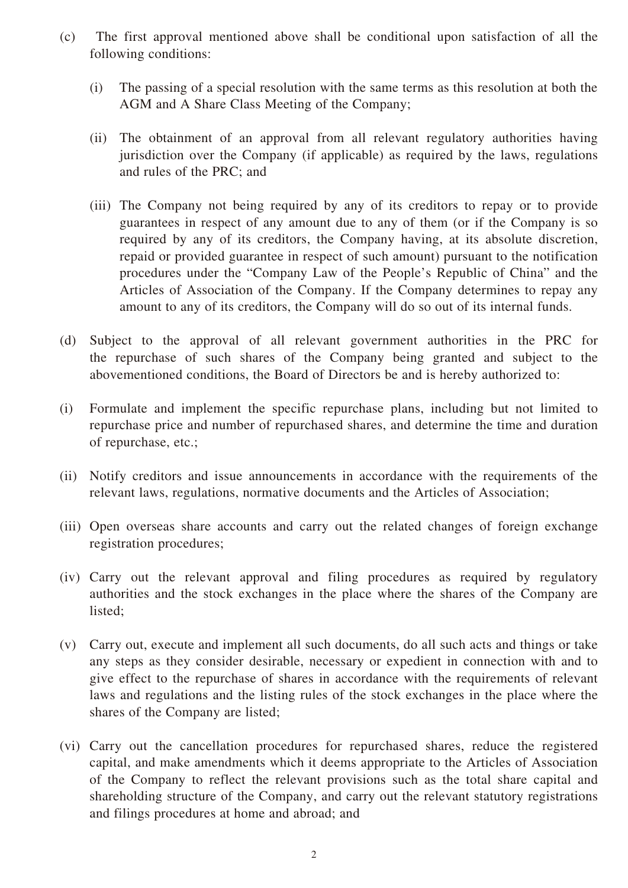- (c) The first approval mentioned above shall be conditional upon satisfaction of all the following conditions:
	- (i) The passing of a special resolution with the same terms as this resolution at both the AGM and A Share Class Meeting of the Company;
	- (ii) The obtainment of an approval from all relevant regulatory authorities having jurisdiction over the Company (if applicable) as required by the laws, regulations and rules of the PRC; and
	- (iii) The Company not being required by any of its creditors to repay or to provide guarantees in respect of any amount due to any of them (or if the Company is so required by any of its creditors, the Company having, at its absolute discretion, repaid or provided guarantee in respect of such amount) pursuant to the notification procedures under the "Company Law of the People's Republic of China" and the Articles of Association of the Company. If the Company determines to repay any amount to any of its creditors, the Company will do so out of its internal funds.
- (d) Subject to the approval of all relevant government authorities in the PRC for the repurchase of such shares of the Company being granted and subject to the abovementioned conditions, the Board of Directors be and is hereby authorized to:
- (i) Formulate and implement the specific repurchase plans, including but not limited to repurchase price and number of repurchased shares, and determine the time and duration of repurchase, etc.;
- (ii) Notify creditors and issue announcements in accordance with the requirements of the relevant laws, regulations, normative documents and the Articles of Association;
- (iii) Open overseas share accounts and carry out the related changes of foreign exchange registration procedures;
- (iv) Carry out the relevant approval and filing procedures as required by regulatory authorities and the stock exchanges in the place where the shares of the Company are listed;
- (v) Carry out, execute and implement all such documents, do all such acts and things or take any steps as they consider desirable, necessary or expedient in connection with and to give effect to the repurchase of shares in accordance with the requirements of relevant laws and regulations and the listing rules of the stock exchanges in the place where the shares of the Company are listed;
- (vi) Carry out the cancellation procedures for repurchased shares, reduce the registered capital, and make amendments which it deems appropriate to the Articles of Association of the Company to reflect the relevant provisions such as the total share capital and shareholding structure of the Company, and carry out the relevant statutory registrations and filings procedures at home and abroad; and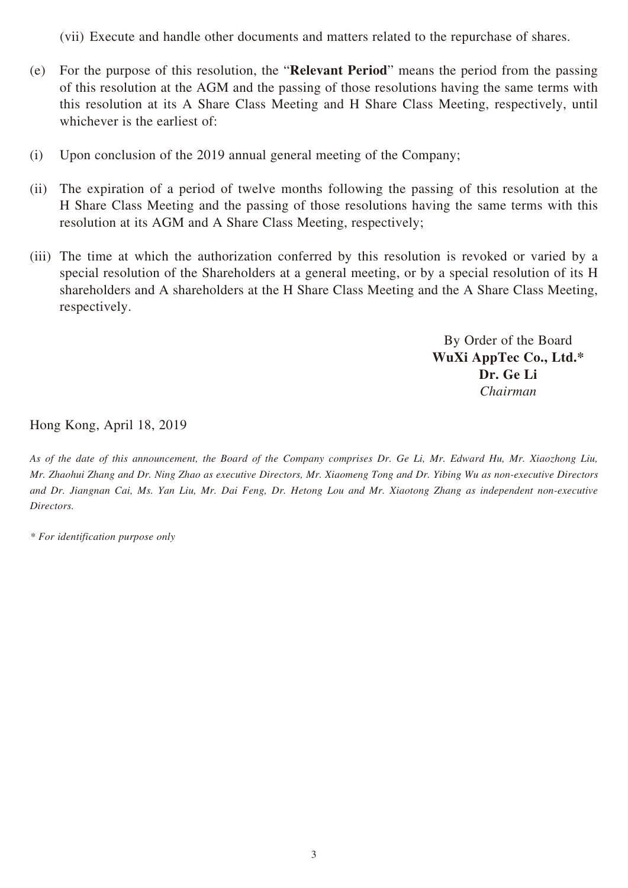(vii) Execute and handle other documents and matters related to the repurchase of shares.

- (e) For the purpose of this resolution, the "**Relevant Period**" means the period from the passing of this resolution at the AGM and the passing of those resolutions having the same terms with this resolution at its A Share Class Meeting and H Share Class Meeting, respectively, until whichever is the earliest of:
- (i) Upon conclusion of the 2019 annual general meeting of the Company;
- (ii) The expiration of a period of twelve months following the passing of this resolution at the H Share Class Meeting and the passing of those resolutions having the same terms with this resolution at its AGM and A Share Class Meeting, respectively;
- (iii) The time at which the authorization conferred by this resolution is revoked or varied by a special resolution of the Shareholders at a general meeting, or by a special resolution of its H shareholders and A shareholders at the H Share Class Meeting and the A Share Class Meeting, respectively.

By Order of the Board **WuXi AppTec Co., Ltd.\* Dr. Ge Li** *Chairman* 

Hong Kong, April 18, 2019

*As of the date of this announcement, the Board of the Company comprises Dr. Ge Li, Mr. Edward Hu, Mr. Xiaozhong Liu, Mr. Zhaohui Zhang and Dr. Ning Zhao as executive Directors, Mr. Xiaomeng Tong and Dr. Yibing Wu as non-executive Directors and Dr. Jiangnan Cai, Ms. Yan Liu, Mr. Dai Feng, Dr. Hetong Lou and Mr. Xiaotong Zhang as independent non-executive Directors.*

*\* For identification purpose only*